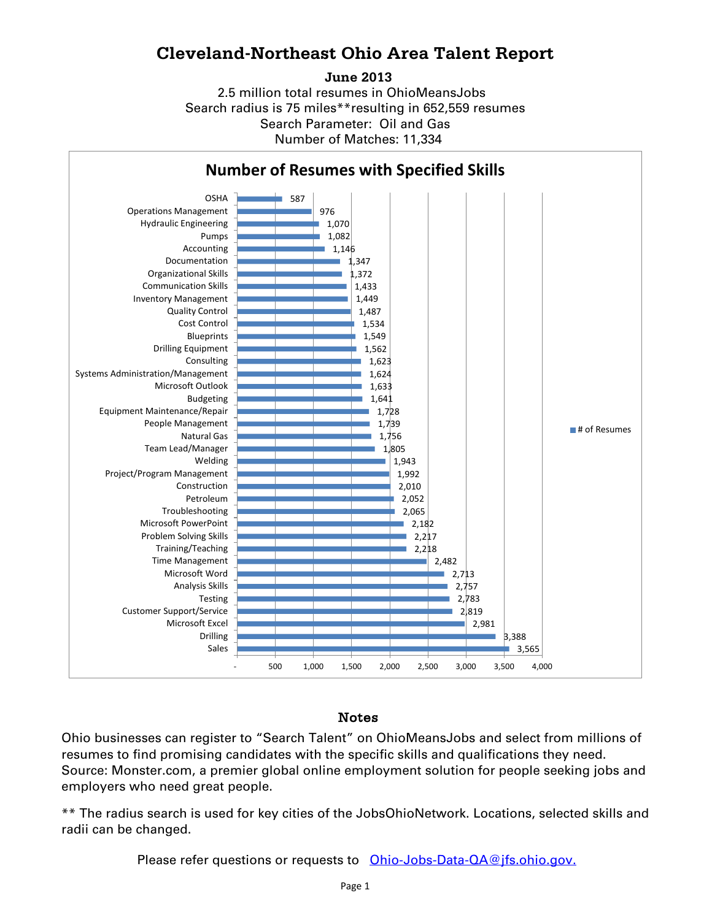## **Cleveland-Northeast Ohio Area Talent Report**

**June 2013**

2.5 million total resumes in OhioMeansJobs Search radius is 75 miles\*\*resulting in 652,559 resumes Number of Matches: 11,334 Search Parameter: Oil and Gas



## Notes

Ohio businesses can register to "Search Talent" on OhioMeansJobs and select from millions of resumes to find promising candidates with the specific skills and qualifications they need. Source: Monster.com, a premier global online employment solution for people seeking jobs and employers who need great people.

\*\* The radius search is used for key cities of the JobsOhioNetwork. Locations, selected skills and radii can be changed.

Please refer questions or requests to [Ohio-Jobs-Data-QA@jfs.ohio.gov.](mailto:Ohio-Jobs-Data-QA@jfs.ohio.gov.)